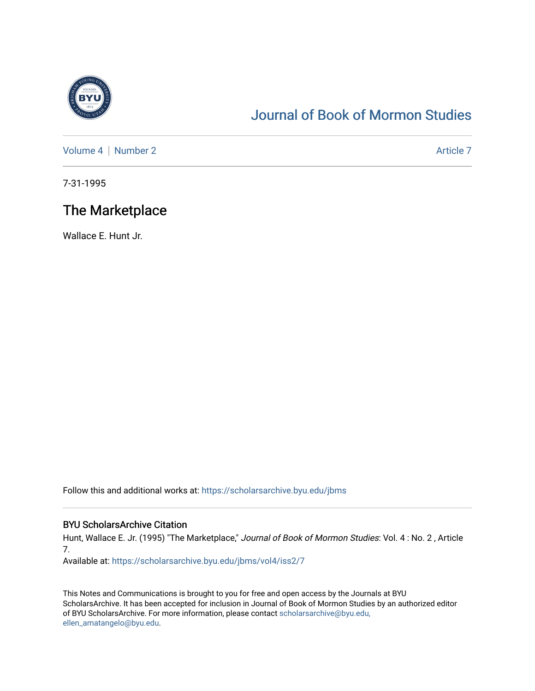

# [Journal of Book of Mormon Studies](https://scholarsarchive.byu.edu/jbms)

[Volume 4](https://scholarsarchive.byu.edu/jbms/vol4) | [Number 2](https://scholarsarchive.byu.edu/jbms/vol4/iss2) Article 7

7-31-1995

## The Marketplace

Wallace E. Hunt Jr.

Follow this and additional works at: [https://scholarsarchive.byu.edu/jbms](https://scholarsarchive.byu.edu/jbms?utm_source=scholarsarchive.byu.edu%2Fjbms%2Fvol4%2Fiss2%2F7&utm_medium=PDF&utm_campaign=PDFCoverPages) 

### BYU ScholarsArchive Citation

Hunt, Wallace E. Jr. (1995) "The Marketplace," Journal of Book of Mormon Studies: Vol. 4: No. 2, Article 7.

Available at: [https://scholarsarchive.byu.edu/jbms/vol4/iss2/7](https://scholarsarchive.byu.edu/jbms/vol4/iss2/7?utm_source=scholarsarchive.byu.edu%2Fjbms%2Fvol4%2Fiss2%2F7&utm_medium=PDF&utm_campaign=PDFCoverPages) 

This Notes and Communications is brought to you for free and open access by the Journals at BYU ScholarsArchive. It has been accepted for inclusion in Journal of Book of Mormon Studies by an authorized editor of BYU ScholarsArchive. For more information, please contact [scholarsarchive@byu.edu,](mailto:scholarsarchive@byu.edu,%20ellen_amatangelo@byu.edu) [ellen\\_amatangelo@byu.edu](mailto:scholarsarchive@byu.edu,%20ellen_amatangelo@byu.edu).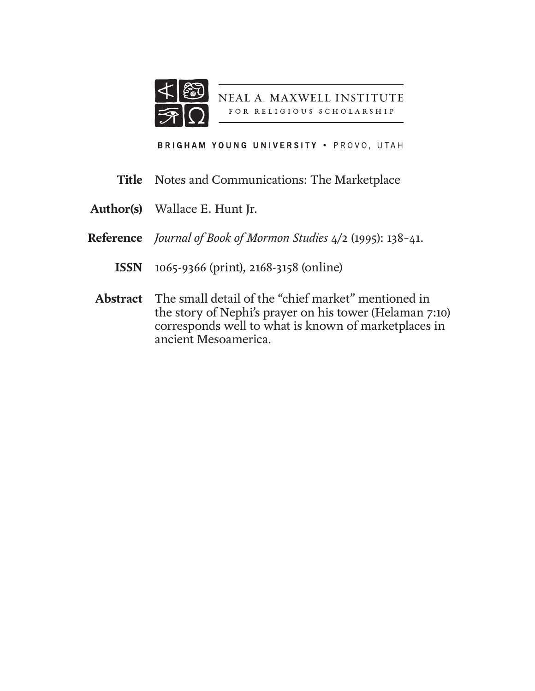

NEAL A. MAXWELL INSTITUTE FOR RELIGIOUS SCHOLARSHIP

BRIGHAM YOUNG UNIVERSITY . PROVO, UTAH

- **Title** Notes and Communications: The Marketplace
- Wallace E. Hunt Jr. **Author(s)**
- *Journal of Book of Mormon Studies* 4/2 (1995): 138–41. **Reference**
	- 1065-9366 (print), 2168-3158 (online) **ISSN**
- The small detail of the "chief market" mentioned in the story of Nephi's prayer on his tower (Helaman 7:10) corresponds well to what is known of marketplaces in ancient Mesoamerica. **Abstract**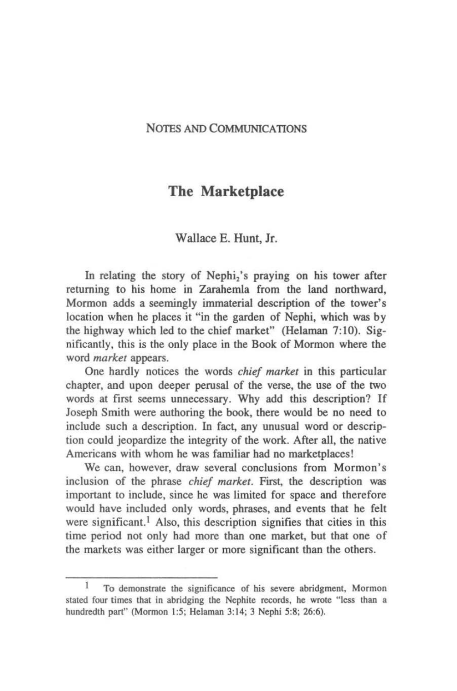#### NOTES AND COMMUNICATIONS

## The Marketplace

#### Wallace E. Hunt, Jr.

In relating the story of Nephi<sub>2</sub>'s praying on his tower after returning to his home in Zarahemla from the land northward, Mormon adds a seemingly immaterial description of the tower's location when he places it "in the garden of Nephi. which was by the highway which led to the chief market" (Helaman 7:10). Significantly, this is the only place in the Book of Mormon where the word *markel* appears.

One hardly notices the words *chief market* in this particular chapter, and upon deeper perusal of the verse, the use of the two words at first seems unnecessary. Why add this description? If Joseph Smith were authoring the book, there would be no need to include such a description. In fact. any unusual word or description could jeopardize the integrity of the work. After all, the native Americans with whom he was familiar had no marketplaces!

We can. however, draw several conclusions from Mormon's inclusion of the phrase *chief market.* First. the description was important to include. since he was limited for space and therefore would have included only words, phrases. and events that he felt were significant.<sup>1</sup> Also, this description signifies that cities in this time period not only had more than one market. but that one of the markets was either larger or more significant than the others.

<sup>1</sup> To demonstrate the significance of his severe abridgment, Mormon stated four times that in abridging the Nephite records, he wrote "less than a hundredth part" (Mormon 1:5; Helaman 3:14; 3 Nephi 5:8: 26:6).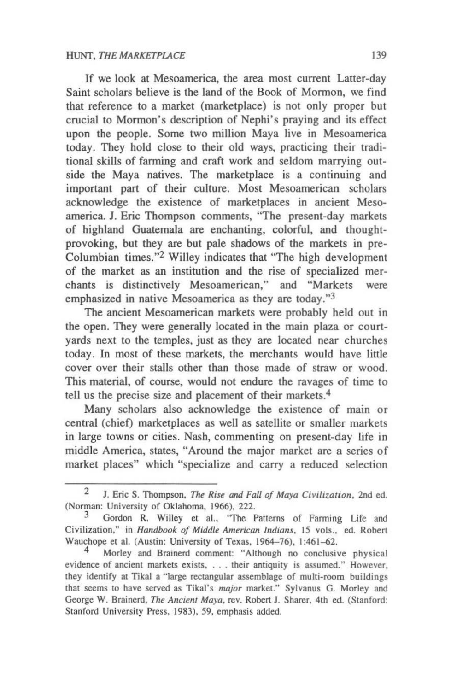If we look at Mesoamerica, the area most current Latter~day Saint scholars believe is the land of the Book of Mormon, we find that reference to a market (marketplace) is not only proper but crucial to Mormon's description of Nephi's praying and its effect upon the people. Some two million Maya live in Mesoamerica today. They hold close to their old ways, practicing their tradi· tional skills of farming and craft work and seldom marrying out· side the Maya natives. The marketplace is a continuing and important part of their culture. Most Mesoamerican scholars acknowledge the existence of marketplaces in ancient Meso· america. J. Eric Thompson comments, "The present-day markets of highland Guatemala are enchanting, colorful, and thought· provoking, but they are but pale shadows of the markets in pre-Columbian times."2 Willey indicates that "The high development of the market as an institution and the rise of specialized mer· chants is distinctively Mesoamerican," and "Markets were emphasized in native Mesoamerica as they are today."3

The ancient Mesoamerican markets were probably held out in the open. They were generally located in the main plaza or court· yards next to the temples, just as they are located near churches today. In most of these markets, the merchants would have little cover over their stalls other than those made of straw or wood. This material, of course, would not endure the ravages of time to tell us the precise size and placement of their markets.4

Many scholars also acknowledge the existence of main or central (chief) marketplaces as well as satellite or smaller markets in large towns or cities. Nash, commenting on present·day life in middle America, states, "Around the major market are a series of market places" which "specialize and carry a reduced selection

<sup>2</sup> J. Eric S. Thompson, *The Rise and Fall of Maya Civilization*, 2nd ed. (Norman: University of Oklahoma, 1966), 222.

<sup>&</sup>lt;sup>3</sup> Gordon R. Willey et al., "The Patterns of Farming Life and Civilization," in *Handbook of Middle American Indians*, 15 vols., ed. Robert Wauchope et al. (Austin: University of Texas, 1964-76), 1:461-62.

<sup>4</sup> Morley and Brainerd comment: "Although no conclusive physical evidence of ancient markets exists, . . . their antiquity is assumed." However, they identify at Tikal a "large rectangular assemblage of multi-room buildings that seems to have served as Tikal's *major* market." Sylvanus G. Morley and George W. Brainerd, *The Ancient Maya*, rev. Robert J. Sharer. 4th ed. (Stanford: Stanford University Press, 1983), 59. emphasis added.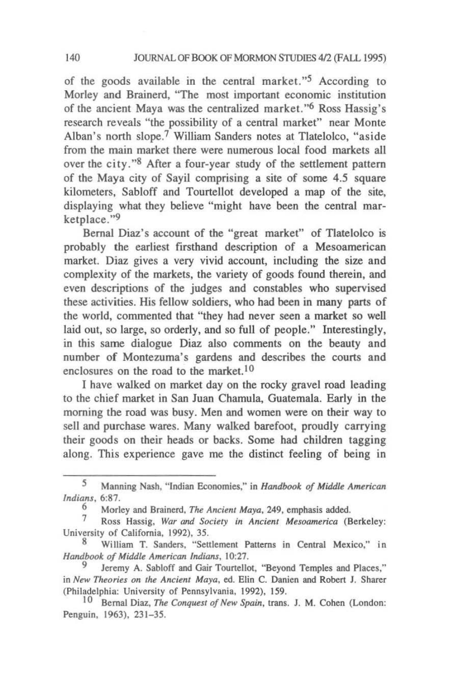of the goods available in the central market. *"5* According to Morley and Brainerd, "The most important economic institution of the ancient Maya was the centralized market. "6 Ross Hassig's research reveals "the possibility of a central market" near Monte Alban's north slope.? William Sanders notes at Tlatelolco. "aside from the main market there were numerous local food markets a1l over the city."<sup>8</sup> After a four-year study of the settlement pattern of the Maya city of Sayil comprising a site of some 4.5 square kilometers, Sabloff and Tourtellot developed a map of the site. displaying what they believe "might have been the central marketplace."9

Bernal Diaz's account of the "great market" of Tlatelolco is probably the earliest firsthand description of a Mesoamerican market. Diaz gives a very vivid account, including the size and complexity of the markets, the variety of goods found therein, and even descriptions of the judges and constables who supervised these activities. His fellow soldiers, who had been in many parts of the world, commented that "they had never seen a market so well laid out, so large, so orderly, and so full of people." Interestingly, in this same dialogue Diaz also comments on the beauty and number of Montezuma's gardens and describes the courts and enclosures on the road to the market.<sup>10</sup>

I have walked on market day on the rocky gravel road leading to the chief market in San Juan Chamula, Guatemala. Early in the morning the road was busy. Men and women were on their way to sell and purchase wares. Many walked barefoot, proudly carrying their goods on their heads or backs. Some had children tagging along. This experience gave me the distinct feeling of being in

<sup>5</sup> Manning Nash, "Indian Economies," in *Handbook of Middle American Indians, 6:87.* 

<sup>&</sup>lt;sup>6</sup> Morley and Brainerd, *The Ancient Maya*, 249, emphasis added.<br><sup>7</sup> Boss, Hassis *Way and Society in Ancient Massauggies* (B

Ross Hassig, *War and Society in Ancient Mesoamerica* (Berkeley: University of California, 1992), 35.

William T. Sanders, "Settlement Patterns in Central Mexico," in *Handbook oj Middle American Indians, 10:27.* 

Jeremy A. Sabloff and Gair Tourtellot, "Beyond Temples and Places," in *New Theon·es on the Ancient Maya,* ed. Elin C. Danien and Robert J. Sharer (Philadelphia: University of Pennsylvania, 1992), 159.

<sup>10</sup> Bernal Diaz, *The Conquest of New Spain,* trans. J. M. Cohen (London: Penguin, 1963), 231-35.